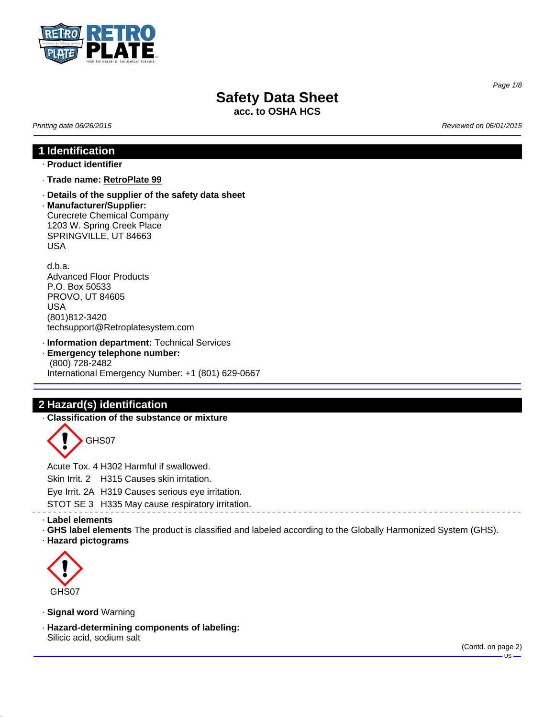

**acc. to OSHA HCS**

*Printing date 06/26/2015 Reviewed on 06/01/2015*

# **1 Identification**

### · **Product identifier**

- · **Trade name: RetroPlate 99**
- · **Details of the supplier of the safety data sheet**
- · **Manufacturer/Supplier:** Curecrete Chemical Company 1203 W. Spring Creek Place SPRINGVILLE, UT 84663 USA

d.b.a. Advanced Floor Products P.O. Box 50533 PROVO, UT 84605 USA (801)812-3420 techsupport@Retroplatesystem.com

· **Information department:** Technical Services · **Emergency telephone number:** (800) 728-2482

International Emergency Number: +1 (801) 629-0667

# **2 Hazard(s) identification**

· **Classification of the substance or mixture**

GHS07

Acute Tox. 4 H302 Harmful if swallowed.

Skin Irrit. 2 H315 Causes skin irritation.

Eye Irrit. 2A H319 Causes serious eye irritation.

STOT SE 3 H335 May cause respiratory irritation.

### · **Label elements**

· **GHS label elements** The product is classified and labeled according to the Globally Harmonized System (GHS).

· **Hazard pictograms**



· **Signal word** Warning

· **Hazard-determining components of labeling:** Silicic acid, sodium salt

*Page 1/8*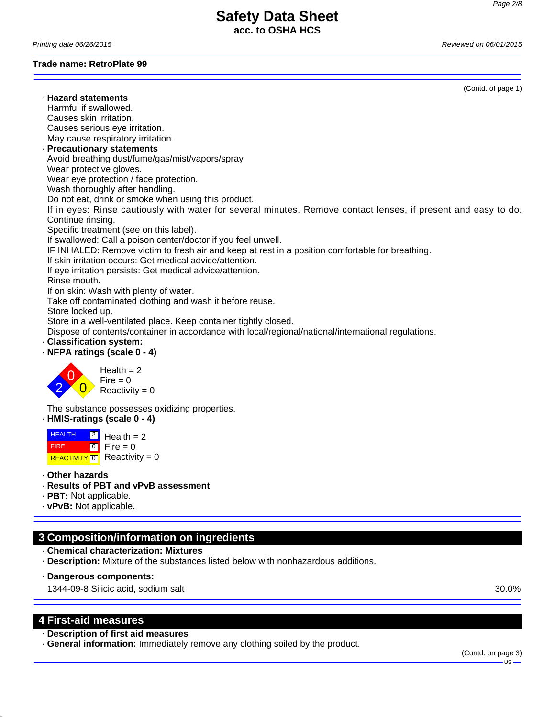## **Safety Data Sheet acc. to OSHA HCS**

*Printing date 06/26/2015 Reviewed on 06/01/2015*

**Trade name: RetroPlate 99**

· **Hazard statements** Harmful if swallowed. Causes skin irritation. Causes serious eye irritation. May cause respiratory irritation. · **Precautionary statements** Avoid breathing dust/fume/gas/mist/vapors/spray Wear protective gloves. Wear eye protection / face protection. Wash thoroughly after handling. Do not eat, drink or smoke when using this product. If in eyes: Rinse cautiously with water for several minutes. Remove contact lenses, if present and easy to do. Continue rinsing. Specific treatment (see on this label). If swallowed: Call a poison center/doctor if you feel unwell. IF INHALED: Remove victim to fresh air and keep at rest in a position comfortable for breathing. If skin irritation occurs: Get medical advice/attention. If eye irritation persists: Get medical advice/attention. Rinse mouth. If on skin: Wash with plenty of water. Take off contaminated clothing and wash it before reuse. Store locked up. Store in a well-ventilated place. Keep container tightly closed. Dispose of contents/container in accordance with local/regional/national/international regulations. · **Classification system:** · **NFPA ratings (scale 0 - 4)**



Health  $= 2$ Fire  $= 0$  $Reactivity = 0$ 

The substance possesses oxidizing properties.

· **HMIS-ratings (scale 0 - 4)**

**HEALTH**  FIRE **REACTIVITY** 0  $|2|$  $\overline{\phantom{0}}$ Health  $= 2$  $Fire = 0$ Reactivity  $= 0$ 

- · **Other hazards**
- · **Results of PBT and vPvB assessment**
- · **PBT:** Not applicable.
- · **vPvB:** Not applicable.

# **3 Composition/information on ingredients**

- · **Chemical characterization: Mixtures**
- · **Description:** Mixture of the substances listed below with nonhazardous additions.
- · **Dangerous components:**

1344-09-8 Silicic acid, sodium salt 30.0%

### **4 First-aid measures**

### · **Description of first aid measures**

· **General information:** Immediately remove any clothing soiled by the product.

(Contd. of page 1)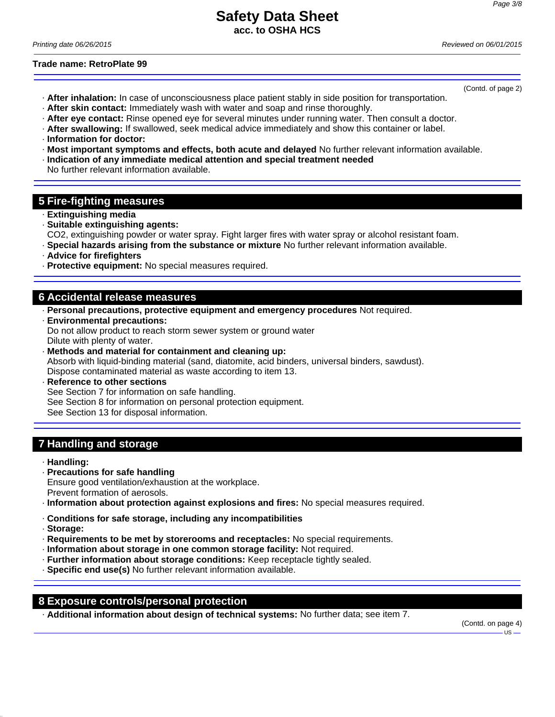(Contd. of page 2)

# **Safety Data Sheet acc. to OSHA HCS**

*Printing date 06/26/2015 Reviewed on 06/01/2015*

**Trade name: RetroPlate 99**

- · **After inhalation:** In case of unconsciousness place patient stably in side position for transportation.
- · **After skin contact:** Immediately wash with water and soap and rinse thoroughly.
- · **After eye contact:** Rinse opened eye for several minutes under running water. Then consult a doctor.
- · **After swallowing:** If swallowed, seek medical advice immediately and show this container or label.
- · **Information for doctor:**
- · **Most important symptoms and effects, both acute and delayed** No further relevant information available.
- · **Indication of any immediate medical attention and special treatment needed**
- No further relevant information available.

# **5 Fire-fighting measures**

- · **Extinguishing media**
- · **Suitable extinguishing agents:**
- CO2, extinguishing powder or water spray. Fight larger fires with water spray or alcohol resistant foam.
- · **Special hazards arising from the substance or mixture** No further relevant information available.
- · **Advice for firefighters**
- · **Protective equipment:** No special measures required.

### **6 Accidental release measures**

- · **Personal precautions, protective equipment and emergency procedures** Not required.
- · **Environmental precautions:**

Do not allow product to reach storm sewer system or ground water Dilute with plenty of water.

· **Methods and material for containment and cleaning up:**

Absorb with liquid-binding material (sand, diatomite, acid binders, universal binders, sawdust). Dispose contaminated material as waste according to item 13.

**Reference to other sections** 

See Section 7 for information on safe handling.

See Section 8 for information on personal protection equipment.

See Section 13 for disposal information.

### **7 Handling and storage**

- · **Handling:**
- · **Precautions for safe handling**
- Ensure good ventilation/exhaustion at the workplace.
- Prevent formation of aerosols.
- · **Information about protection against explosions and fires:** No special measures required.
- · **Conditions for safe storage, including any incompatibilities**
- · **Storage:**
- · **Requirements to be met by storerooms and receptacles:** No special requirements.
- · **Information about storage in one common storage facility:** Not required.
- · **Further information about storage conditions:** Keep receptacle tightly sealed.
- · **Specific end use(s)** No further relevant information available.

### **8 Exposure controls/personal protection**

· **Additional information about design of technical systems:** No further data; see item 7.

(Contd. on page 4) -us-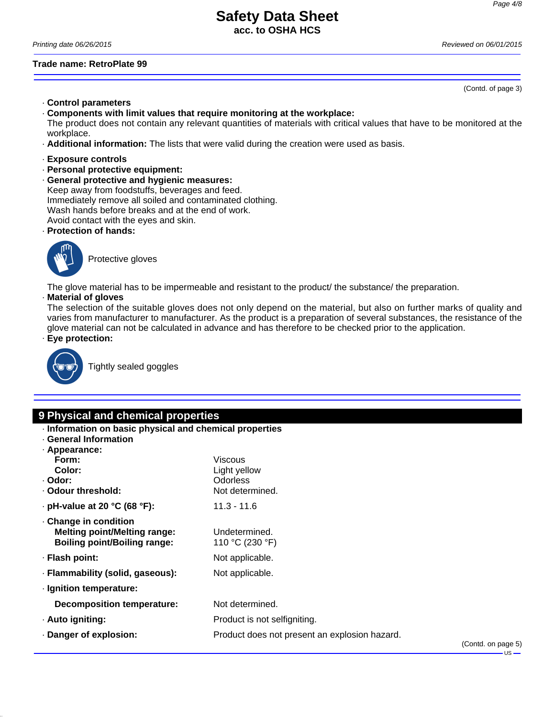**acc. to OSHA HCS**

*Printing date 06/26/2015 Reviewed on 06/01/2015*

### **Trade name: RetroPlate 99**

(Contd. of page 3)

- · **Control parameters**
- · **Components with limit values that require monitoring at the workplace:**

The product does not contain any relevant quantities of materials with critical values that have to be monitored at the workplace.

- · **Additional information:** The lists that were valid during the creation were used as basis.
- · **Exposure controls**
- · **Personal protective equipment:**
- · **General protective and hygienic measures:** Keep away from foodstuffs, beverages and feed. Immediately remove all soiled and contaminated clothing. Wash hands before breaks and at the end of work. Avoid contact with the eyes and skin.
- · **Protection of hands:**



Protective gloves

The glove material has to be impermeable and resistant to the product/ the substance/ the preparation.

### · **Material of gloves**

The selection of the suitable gloves does not only depend on the material, but also on further marks of quality and varies from manufacturer to manufacturer. As the product is a preparation of several substances, the resistance of the glove material can not be calculated in advance and has therefore to be checked prior to the application.

· **Eye protection:**



Tightly sealed goggles

# **9 Physical and chemical properties**

- · **Information on basic physical and chemical properties**
- · **General Information**
- · **Appearance:**

| Appcarance.                                                                                       |                                               |         |
|---------------------------------------------------------------------------------------------------|-----------------------------------------------|---------|
| Form:                                                                                             | Viscous                                       |         |
| Color:                                                                                            | Light yellow                                  |         |
| · Odor:                                                                                           | Odorless                                      |         |
| Odour threshold:                                                                                  | Not determined.                               |         |
| $\cdot$ pH-value at 20 °C (68 °F):                                                                | $11.3 - 11.6$                                 |         |
| Change in condition<br><b>Melting point/Melting range:</b><br><b>Boiling point/Boiling range:</b> | Undetermined.<br>110 °C (230 °F)              |         |
| · Flash point:                                                                                    | Not applicable.                               |         |
| · Flammability (solid, gaseous):                                                                  | Not applicable.                               |         |
| · Ignition temperature:                                                                           |                                               |         |
| Decomposition temperature:                                                                        | Not determined.                               |         |
| · Auto igniting:                                                                                  | Product is not selfigniting.                  |         |
| Danger of explosion:                                                                              | Product does not present an explosion hazard. | (Contc) |
|                                                                                                   |                                               |         |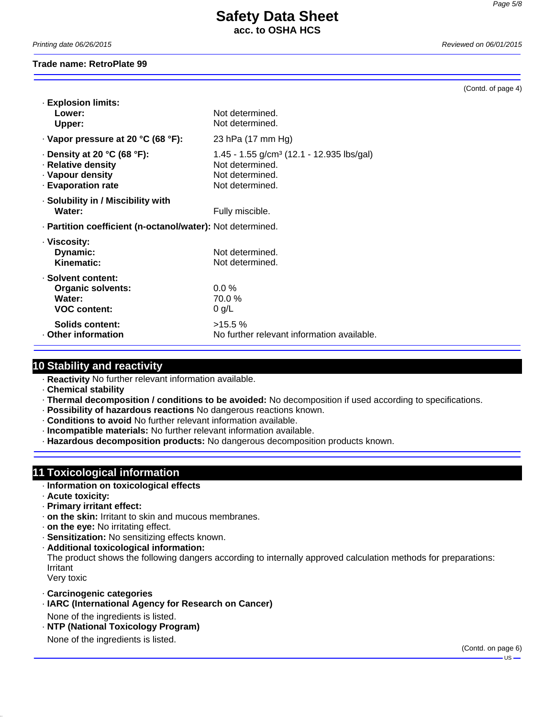# **Safety Data Sheet acc. to OSHA HCS**

*Printing date 06/26/2015 Reviewed on 06/01/2015*

### **Trade name: RetroPlate 99**

(Contd. of page 4)

| <b>Explosion limits:</b><br>Lower:<br>Upper:                                                           | Not determined<br>Not determined.                                                                              |  |
|--------------------------------------------------------------------------------------------------------|----------------------------------------------------------------------------------------------------------------|--|
| $\cdot$ Vapor pressure at 20 °C (68 °F):                                                               | 23 hPa (17 mm Hg)                                                                                              |  |
| $\cdot$ Density at 20 °C (68 °F):<br>· Relative density<br>· Vapour density<br><b>Evaporation rate</b> | 1.45 - 1.55 g/cm <sup>3</sup> (12.1 - 12.935 lbs/gal)<br>Not determined.<br>Not determined.<br>Not determined. |  |
| · Solubility in / Miscibility with<br>Water:                                                           | Fully miscible.                                                                                                |  |
| · Partition coefficient (n-octanol/water): Not determined.                                             |                                                                                                                |  |
| · Viscosity:<br>Dynamic:<br>Kinematic:                                                                 | Not determined.<br>Not determined.                                                                             |  |
| · Solvent content:<br><b>Organic solvents:</b><br>Water:<br><b>VOC content:</b>                        | $0.0\%$<br>70.0%<br>$0$ g/L                                                                                    |  |
| Solids content:<br>Other information                                                                   | $>15.5\%$<br>No further relevant information available.                                                        |  |

### **10 Stability and reactivity**

· **Reactivity** No further relevant information available.

- · **Chemical stability**
- · **Thermal decomposition / conditions to be avoided:** No decomposition if used according to specifications.
- · **Possibility of hazardous reactions** No dangerous reactions known.
- · **Conditions to avoid** No further relevant information available.
- · **Incompatible materials:** No further relevant information available.
- · **Hazardous decomposition products:** No dangerous decomposition products known.

# **11 Toxicological information**

- · **Information on toxicological effects**
- · **Acute toxicity:**
- · **Primary irritant effect:**
- · **on the skin:** Irritant to skin and mucous membranes.
- · **on the eye:** No irritating effect.
- · **Sensitization:** No sensitizing effects known.
- · **Additional toxicological information:** The product shows the following dangers according to internally approved calculation methods for preparations: Irritant

Very toxic

- · **Carcinogenic categories**
- · **IARC (International Agency for Research on Cancer)** None of the ingredients is listed.
- · **NTP (National Toxicology Program)**

None of the ingredients is listed.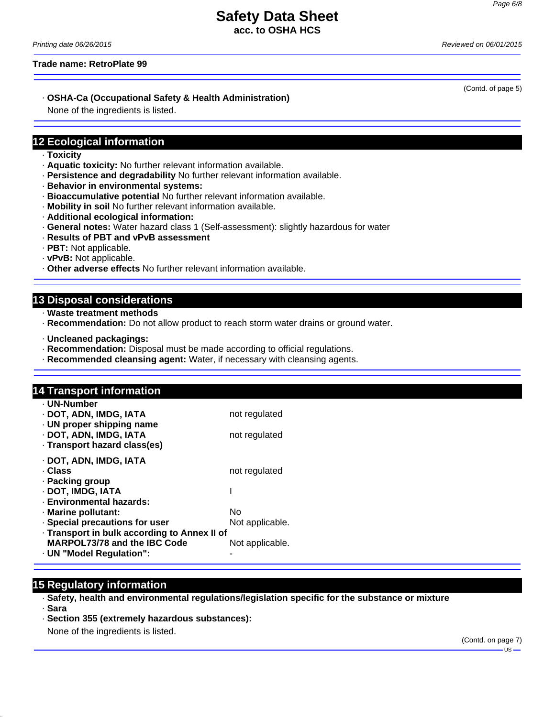**acc. to OSHA HCS**

*Printing date 06/26/2015 Reviewed on 06/01/2015*

**Trade name: RetroPlate 99**

### · **OSHA-Ca (Occupational Safety & Health Administration)**

None of the ingredients is listed.

### **12 Ecological information**

- · **Toxicity**
- · **Aquatic toxicity:** No further relevant information available.
- · **Persistence and degradability** No further relevant information available.
- · **Behavior in environmental systems:**
- · **Bioaccumulative potential** No further relevant information available.
- · **Mobility in soil** No further relevant information available.
- · **Additional ecological information:**
- · **General notes:** Water hazard class 1 (Self-assessment): slightly hazardous for water
- · **Results of PBT and vPvB assessment**
- · **PBT:** Not applicable.
- · **vPvB:** Not applicable.
- · **Other adverse effects** No further relevant information available.

### **13 Disposal considerations**

- · **Waste treatment methods**
- · **Recommendation:** Do not allow product to reach storm water drains or ground water.
- · **Uncleaned packagings:**
- · **Recommendation:** Disposal must be made according to official regulations.
- · **Recommended cleansing agent:** Water, if necessary with cleansing agents.

# **14 Transport information**

| · UN-Number                                  |                 |
|----------------------------------------------|-----------------|
| · DOT, ADN, IMDG, IATA                       | not regulated   |
| · UN proper shipping name                    |                 |
| · DOT, ADN, IMDG, IATA                       | not regulated   |
| · Transport hazard class(es)                 |                 |
| · DOT, ADN, IMDG, IATA                       |                 |
| . Class                                      | not regulated   |
| · Packing group                              |                 |
| · DOT, IMDG, IATA                            |                 |
| · Environmental hazards:                     |                 |
| · Marine pollutant:                          | No              |
| · Special precautions for user               | Not applicable. |
| · Transport in bulk according to Annex II of |                 |
| MARPOL73/78 and the IBC Code                 | Not applicable. |
| · UN "Model Regulation":                     |                 |

### **15 Regulatory information**

- · **Safety, health and environmental regulations/legislation specific for the substance or mixture** · **Sara**
- · **Section 355 (extremely hazardous substances):**

None of the ingredients is listed.

(Contd. of page 5)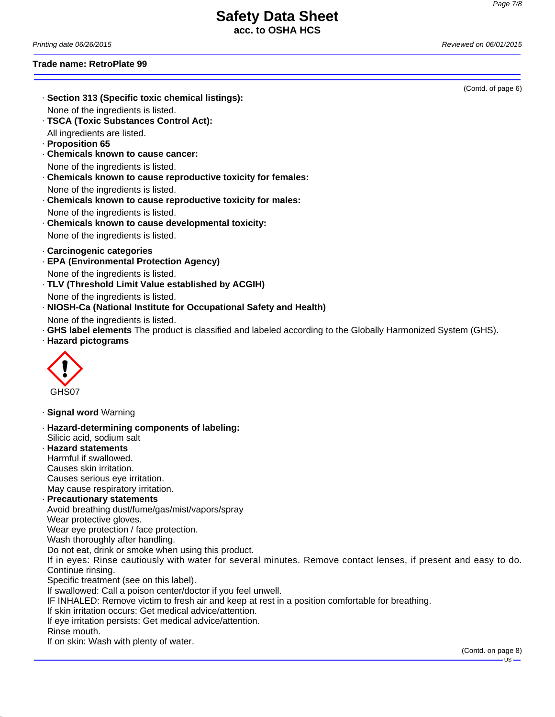**acc. to OSHA HCS**

*Printing date 06/26/2015 Reviewed on 06/01/2015*

### **Trade name: RetroPlate 99**

All ingredients are listed.

· **Proposition 65**

None of the ingredients is listed.

· **TSCA (Toxic Substances Control Act):**

· **Chemicals known to cause cancer:** None of the ingredients is listed.

· **Section 313 (Specific toxic chemical listings):**

· **Chemicals known to cause reproductive toxicity for females:** None of the ingredients is listed. · **Chemicals known to cause reproductive toxicity for males:** None of the ingredients is listed. · **Chemicals known to cause developmental toxicity:** None of the ingredients is listed. · **Carcinogenic categories** · **EPA (Environmental Protection Agency)** None of the ingredients is listed. · **TLV (Threshold Limit Value established by ACGIH)** None of the ingredients is listed. · **NIOSH-Ca (National Institute for Occupational Safety and Health)** None of the ingredients is listed. · **GHS label elements** The product is classified and labeled according to the Globally Harmonized System (GHS). · **Hazard pictograms**  $\langle \cdot \rangle$ GHS07 · **Signal word** Warning · **Hazard-determining components of labeling:** Silicic acid, sodium salt · **Hazard statements** Harmful if swallowed. Causes skin irritation. Causes serious eye irritation. May cause respiratory irritation. · **Precautionary statements** Avoid breathing dust/fume/gas/mist/vapors/spray Wear protective gloves. Wear eye protection / face protection. Wash thoroughly after handling. Do not eat, drink or smoke when using this product. If in eyes: Rinse cautiously with water for several minutes. Remove contact lenses, if present and easy to do. Continue rinsing. Specific treatment (see on this label). If swallowed: Call a poison center/doctor if you feel unwell. IF INHALED: Remove victim to fresh air and keep at rest in a position comfortable for breathing. If skin irritation occurs: Get medical advice/attention. If eye irritation persists: Get medical advice/attention. Rinse mouth. If on skin: Wash with plenty of water. (Contd. on page 8)  $-US -$ 

(Contd. of page 6)